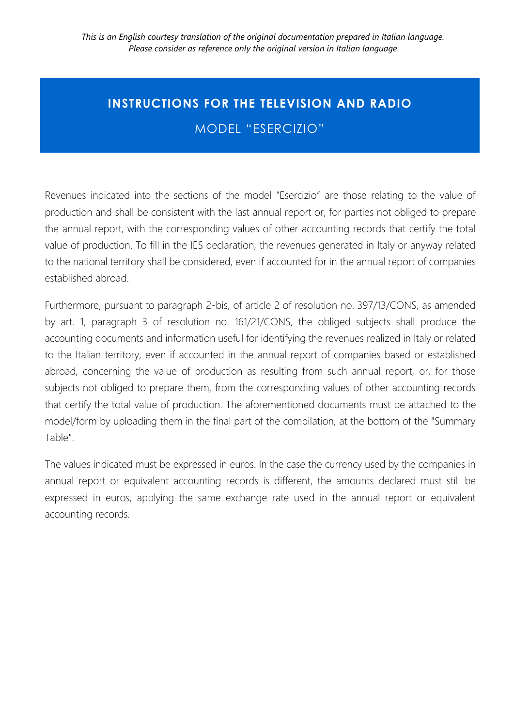## **INSTRUCTIONS FOR THE TELEVISION AND RADIO**  MODEL "ESERCIZIO"

Revenues indicated into the sections of the model "Esercizio" are those relating to the value of production and shall be consistent with the last annual report or, for parties not obliged to prepare the annual report, with the corresponding values of other accounting records that certify the total value of production. To fill in the IES declaration, the revenues generated in Italy or anyway related to the national territory shall be considered, even if accounted for in the annual report of companies established abroad.

Furthermore, pursuant to paragraph 2-bis, of article 2 of resolution no. 397/13/CONS, as amended by art. 1, paragraph 3 of resolution no. 161/21/CONS, the obliged subjects shall produce the accounting documents and information useful for identifying the revenues realized in Italy or related to the Italian territory, even if accounted in the annual report of companies based or established abroad, concerning the value of production as resulting from such annual report, or, for those subjects not obliged to prepare them, from the corresponding values of other accounting records that certify the total value of production. The aforementioned documents must be attached to the model/form by uploading them in the final part of the compilation, at the bottom of the "Summary Table".

The values indicated must be expressed in euros. In the case the currency used by the companies in annual report or equivalent accounting records is different, the amounts declared must still be expressed in euros, applying the same exchange rate used in the annual report or equivalent accounting records.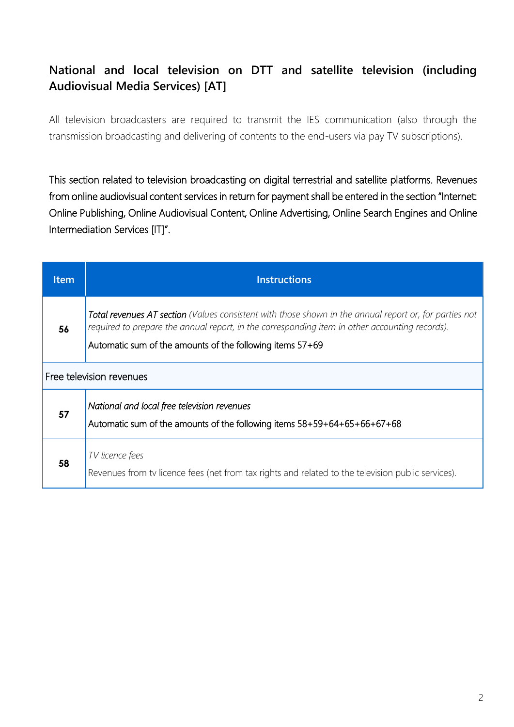### **National and local television on DTT and satellite television (including Audiovisual Media Services) [AT]**

All television broadcasters are required to transmit the IES communication (also through the transmission broadcasting and delivering of contents to the end-users via pay TV subscriptions).

This section related to television broadcasting on digital terrestrial and satellite platforms. Revenues from online audiovisual content services in return for payment shall be entered in the section "Internet: Online Publishing, Online Audiovisual Content, Online Advertising, Online Search Engines and Online Intermediation Services [IT]".

| <b>Item</b> | <b>Instructions</b>                                                                                                                                                                                                                                                          |
|-------------|------------------------------------------------------------------------------------------------------------------------------------------------------------------------------------------------------------------------------------------------------------------------------|
| 56          | <b>Total revenues AT section</b> (Values consistent with those shown in the annual report or, for parties not<br>required to prepare the annual report, in the corresponding item in other accounting records).<br>Automatic sum of the amounts of the following items 57+69 |
|             | Free television revenues                                                                                                                                                                                                                                                     |
| 57          | National and local free television revenues<br>Automatic sum of the amounts of the following items $58+59+64+65+66+67+68$                                                                                                                                                    |
| 58          | TV licence fees<br>Revenues from tv licence fees (net from tax rights and related to the television public services).                                                                                                                                                        |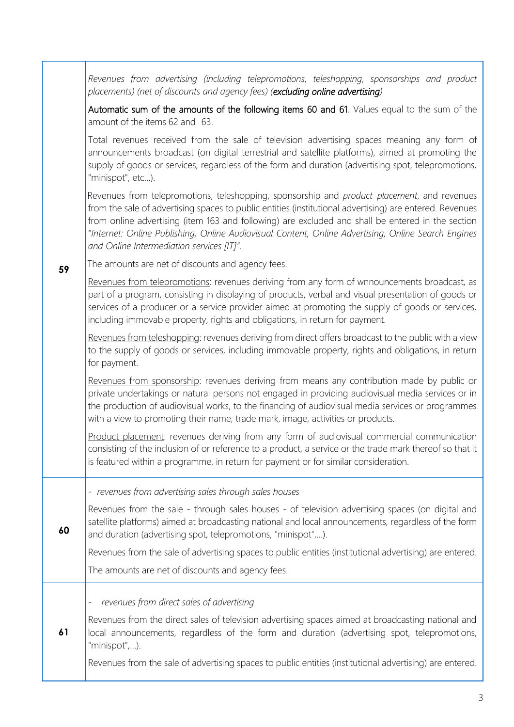*Revenues from advertising (including telepromotions, teleshopping, sponsorships and product placements) (net of discounts and agency fees) (excluding online advertising)*

Automatic sum of the amounts of the following items 60 and 61. Values equal to the sum of the amount of the items 62 and 63.

Total revenues received from the sale of television advertising spaces meaning any form of announcements broadcast (on digital terrestrial and satellite platforms), aimed at promoting the supply of goods or services, regardless of the form and duration (advertising spot, telepromotions, "minispot", etc...).

Revenues from telepromotions, teleshopping, sponsorship and *product placement*, and revenues from the sale of advertising spaces to public entities (institutional advertising) are entered. Revenues from online advertising (item 163 and following) are excluded and shall be entered in the section "*Internet: Online Publishing, Online Audiovisual Content, Online Advertising, Online Search Engines and Online Intermediation services [IT]"*.

**59** The amounts are net of discounts and agency fees.

> Revenues from telepromotions: revenues deriving from any form of wnnouncements broadcast, as part of a program, consisting in displaying of products, verbal and visual presentation of goods or services of a producer or a service provider aimed at promoting the supply of goods or services, including immovable property, rights and obligations, in return for payment.

> Revenues from teleshopping: revenues deriving from direct offers broadcast to the public with a view to the supply of goods or services, including immovable property, rights and obligations, in return for payment.

> Revenues from sponsorship: revenues deriving from means any contribution made by public or private undertakings or natural persons not engaged in providing audiovisual media services or in the production of audiovisual works, to the financing of audiovisual media services or programmes with a view to promoting their name, trade mark, image, activities or products.

> Product placement: revenues deriving from any form of audiovisual commercial communication consisting of the inclusion of or reference to a product, a service or the trade mark thereof so that it is featured within a programme, in return for payment or for similar consideration.

- *revenues from advertising sales through sales houses*

Revenues from the sale - through sales houses - of television advertising spaces (on digital and satellite platforms) aimed at broadcasting national and local announcements, regardless of the form and duration (advertising spot, telepromotions, "minispot",…).

Revenues from the sale of advertising spaces to public entities (institutional advertising) are entered.

The amounts are net of discounts and agency fees.

- *revenues from direct sales of advertising* 

**60**

**61** Revenues from the direct sales of television advertising spaces aimed at broadcasting national and local announcements, regardless of the form and duration (advertising spot, telepromotions, "minispot",…).

Revenues from the sale of advertising spaces to public entities (institutional advertising) are entered.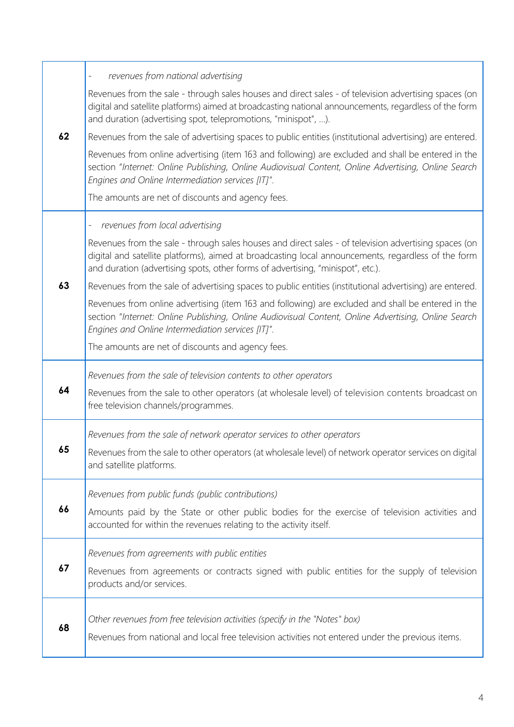|    | revenues from national advertising<br>$\overline{\phantom{a}}$                                                                                                                                                                                                                                  |
|----|-------------------------------------------------------------------------------------------------------------------------------------------------------------------------------------------------------------------------------------------------------------------------------------------------|
|    | Revenues from the sale - through sales houses and direct sales - of television advertising spaces (on<br>digital and satellite platforms) aimed at broadcasting national announcements, regardless of the form<br>and duration (advertising spot, telepromotions, "minispot", ).                |
| 62 | Revenues from the sale of advertising spaces to public entities (institutional advertising) are entered.                                                                                                                                                                                        |
|    | Revenues from online advertising (item 163 and following) are excluded and shall be entered in the<br>section "Internet: Online Publishing, Online Audiovisual Content, Online Advertising, Online Search<br>Engines and Online Intermediation services [IT]".                                  |
|    | The amounts are net of discounts and agency fees.                                                                                                                                                                                                                                               |
|    | revenues from local advertising<br>$\overline{\phantom{a}}$                                                                                                                                                                                                                                     |
|    | Revenues from the sale - through sales houses and direct sales - of television advertising spaces (on<br>digital and satellite platforms), aimed at broadcasting local announcements, regardless of the form<br>and duration (advertising spots, other forms of advertising, "minispot", etc.). |
| 63 | Revenues from the sale of advertising spaces to public entities (institutional advertising) are entered.                                                                                                                                                                                        |
|    | Revenues from online advertising (item 163 and following) are excluded and shall be entered in the<br>section "Internet: Online Publishing, Online Audiovisual Content, Online Advertising, Online Search<br>Engines and Online Intermediation services [IT]".                                  |
|    | The amounts are net of discounts and agency fees.                                                                                                                                                                                                                                               |
|    | Revenues from the sale of television contents to other operators                                                                                                                                                                                                                                |
|    |                                                                                                                                                                                                                                                                                                 |
| 64 | Revenues from the sale to other operators (at wholesale level) of television contents broadcast on<br>free television channels/programmes.                                                                                                                                                      |
|    | Revenues from the sale of network operator services to other operators                                                                                                                                                                                                                          |
| 65 | Revenues from the sale to other operators (at wholesale level) of network operator services on digital<br>and satellite platforms.                                                                                                                                                              |
|    | Revenues from public funds (public contributions)                                                                                                                                                                                                                                               |
| 66 | Amounts paid by the State or other public bodies for the exercise of television activities and<br>accounted for within the revenues relating to the activity itself.                                                                                                                            |
|    |                                                                                                                                                                                                                                                                                                 |
| 67 | Revenues from agreements with public entities<br>Revenues from agreements or contracts signed with public entities for the supply of television<br>products and/or services.                                                                                                                    |
|    | Other revenues from free television activities (specify in the "Notes" box)                                                                                                                                                                                                                     |

Т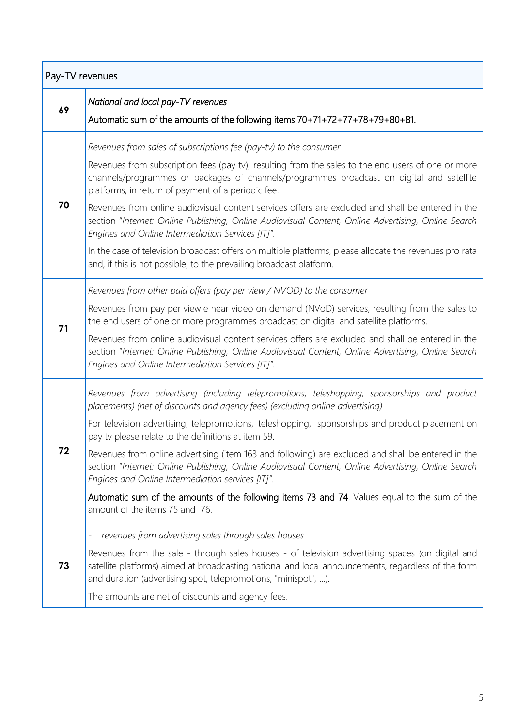| Pay-TV revenues |                                                                                                                                                                                                                                                                           |
|-----------------|---------------------------------------------------------------------------------------------------------------------------------------------------------------------------------------------------------------------------------------------------------------------------|
| 69              | National and local pay-TV revenues                                                                                                                                                                                                                                        |
|                 | Automatic sum of the amounts of the following items 70+71+72+77+78+79+80+81.                                                                                                                                                                                              |
|                 | Revenues from sales of subscriptions fee (pay-tv) to the consumer                                                                                                                                                                                                         |
| 70              | Revenues from subscription fees (pay tv), resulting from the sales to the end users of one or more<br>channels/programmes or packages of channels/programmes broadcast on digital and satellite<br>platforms, in return of payment of a periodic fee.                     |
|                 | Revenues from online audiovisual content services offers are excluded and shall be entered in the<br>section "Internet: Online Publishing, Online Audiovisual Content, Online Advertising, Online Search<br>Engines and Online Intermediation Services [IT]".             |
|                 | In the case of television broadcast offers on multiple platforms, please allocate the revenues pro rata<br>and, if this is not possible, to the prevailing broadcast platform.                                                                                            |
|                 | Revenues from other paid offers (pay per view / NVOD) to the consumer                                                                                                                                                                                                     |
| 71              | Revenues from pay per view e near video on demand (NVoD) services, resulting from the sales to<br>the end users of one or more programmes broadcast on digital and satellite platforms.                                                                                   |
|                 | Revenues from online audiovisual content services offers are excluded and shall be entered in the<br>section "Internet: Online Publishing, Online Audiovisual Content, Online Advertising, Online Search<br>Engines and Online Intermediation Services [IT]".             |
| 72              | Revenues from advertising (including telepromotions, teleshopping, sponsorships and product<br>placements) (net of discounts and agency fees) (excluding online advertising)                                                                                              |
|                 | For television advertising, telepromotions, teleshopping, sponsorships and product placement on<br>pay tv please relate to the definitions at item 59.                                                                                                                    |
|                 | Revenues from online advertising (item 163 and following) are excluded and shall be entered in the<br>section "Internet: Online Publishing, Online Audiovisual Content, Online Advertising, Online Search<br>Engines and Online Intermediation services [IT]".            |
|                 | Automatic sum of the amounts of the following items 73 and 74. Values equal to the sum of the<br>amount of the items 75 and 76.                                                                                                                                           |
|                 | revenues from advertising sales through sales houses                                                                                                                                                                                                                      |
| 73              | Revenues from the sale - through sales houses - of television advertising spaces (on digital and<br>satellite platforms) aimed at broadcasting national and local announcements, regardless of the form<br>and duration (advertising spot, telepromotions, "minispot", ). |
|                 | The amounts are net of discounts and agency fees.                                                                                                                                                                                                                         |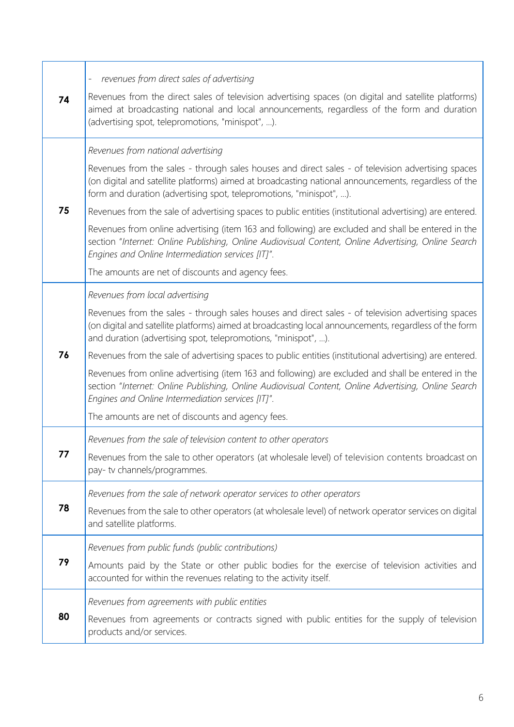| 74 | revenues from direct sales of advertising<br>$\overline{\phantom{0}}$<br>Revenues from the direct sales of television advertising spaces (on digital and satellite platforms)<br>aimed at broadcasting national and local announcements, regardless of the form and duration<br>(advertising spot, telepromotions, "minispot", ).                                                                                                                                                                                                                                                                                                                                                                                                                          |
|----|------------------------------------------------------------------------------------------------------------------------------------------------------------------------------------------------------------------------------------------------------------------------------------------------------------------------------------------------------------------------------------------------------------------------------------------------------------------------------------------------------------------------------------------------------------------------------------------------------------------------------------------------------------------------------------------------------------------------------------------------------------|
| 75 | Revenues from national advertising<br>Revenues from the sales - through sales houses and direct sales - of television advertising spaces<br>(on digital and satellite platforms) aimed at broadcasting national announcements, regardless of the<br>form and duration (advertising spot, telepromotions, "minispot", ).<br>Revenues from the sale of advertising spaces to public entities (institutional advertising) are entered.<br>Revenues from online advertising (item 163 and following) are excluded and shall be entered in the<br>section "Internet: Online Publishing, Online Audiovisual Content, Online Advertising, Online Search<br>Engines and Online Intermediation services [IT]".<br>The amounts are net of discounts and agency fees. |
| 76 | Revenues from local advertising<br>Revenues from the sales - through sales houses and direct sales - of television advertising spaces<br>(on digital and satellite platforms) aimed at broadcasting local announcements, regardless of the form<br>and duration (advertising spot, telepromotions, "minispot", ).<br>Revenues from the sale of advertising spaces to public entities (institutional advertising) are entered.<br>Revenues from online advertising (item 163 and following) are excluded and shall be entered in the<br>section "Internet: Online Publishing, Online Audiovisual Content, Online Advertising, Online Search<br>Engines and Online Intermediation services [IT]".<br>The amounts are net of discounts and agency fees.       |
| 77 | Revenues from the sale of television content to other operators<br>Revenues from the sale to other operators (at wholesale level) of television contents broadcast on<br>pay- tv channels/programmes.                                                                                                                                                                                                                                                                                                                                                                                                                                                                                                                                                      |
| 78 | Revenues from the sale of network operator services to other operators<br>Revenues from the sale to other operators (at wholesale level) of network operator services on digital<br>and satellite platforms.                                                                                                                                                                                                                                                                                                                                                                                                                                                                                                                                               |
| 79 | Revenues from public funds (public contributions)<br>Amounts paid by the State or other public bodies for the exercise of television activities and<br>accounted for within the revenues relating to the activity itself.                                                                                                                                                                                                                                                                                                                                                                                                                                                                                                                                  |
| 80 | Revenues from agreements with public entities<br>Revenues from agreements or contracts signed with public entities for the supply of television<br>products and/or services.                                                                                                                                                                                                                                                                                                                                                                                                                                                                                                                                                                               |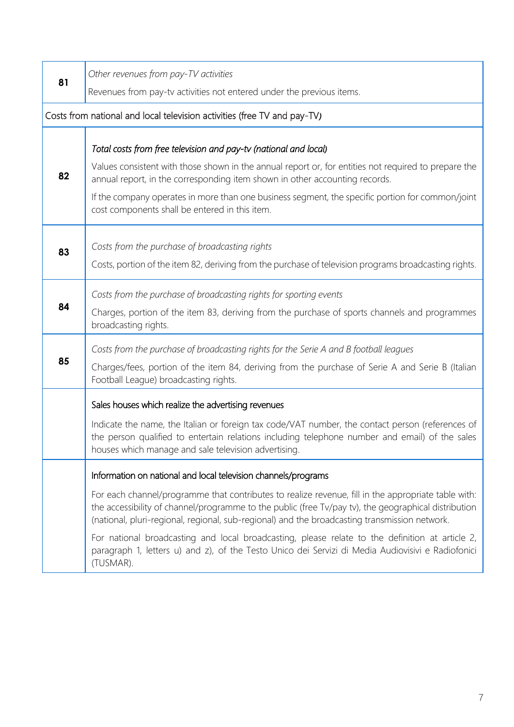| 81                                                                       | Other revenues from pay-TV activities                                                                                                                                                                                                                                                                        |
|--------------------------------------------------------------------------|--------------------------------------------------------------------------------------------------------------------------------------------------------------------------------------------------------------------------------------------------------------------------------------------------------------|
|                                                                          | Revenues from pay-tv activities not entered under the previous items.                                                                                                                                                                                                                                        |
| Costs from national and local television activities (free TV and pay-TV) |                                                                                                                                                                                                                                                                                                              |
|                                                                          |                                                                                                                                                                                                                                                                                                              |
| 82                                                                       | Total costs from free television and pay-tv (national and local)<br>Values consistent with those shown in the annual report or, for entities not required to prepare the                                                                                                                                     |
|                                                                          | annual report, in the corresponding item shown in other accounting records.                                                                                                                                                                                                                                  |
|                                                                          | If the company operates in more than one business segment, the specific portion for common/joint<br>cost components shall be entered in this item.                                                                                                                                                           |
| 83                                                                       | Costs from the purchase of broadcasting rights                                                                                                                                                                                                                                                               |
|                                                                          | Costs, portion of the item 82, deriving from the purchase of television programs broadcasting rights.                                                                                                                                                                                                        |
|                                                                          | Costs from the purchase of broadcasting rights for sporting events                                                                                                                                                                                                                                           |
| 84                                                                       | Charges, portion of the item 83, deriving from the purchase of sports channels and programmes<br>broadcasting rights.                                                                                                                                                                                        |
|                                                                          | Costs from the purchase of broadcasting rights for the Serie A and B football leagues                                                                                                                                                                                                                        |
| 85                                                                       | Charges/fees, portion of the item 84, deriving from the purchase of Serie A and Serie B (Italian<br>Football League) broadcasting rights.                                                                                                                                                                    |
|                                                                          | Sales houses which realize the advertising revenues                                                                                                                                                                                                                                                          |
|                                                                          | Indicate the name, the Italian or foreign tax code/VAT number, the contact person (references of<br>the person qualified to entertain relations including telephone number and email) of the sales<br>houses which manage and sale television advertising.                                                   |
|                                                                          | Information on national and local television channels/programs                                                                                                                                                                                                                                               |
|                                                                          | For each channel/programme that contributes to realize revenue, fill in the appropriate table with:<br>the accessibility of channel/programme to the public (free Tv/pay tv), the geographical distribution<br>(national, pluri-regional, regional, sub-regional) and the broadcasting transmission network. |
|                                                                          | For national broadcasting and local broadcasting, please relate to the definition at article 2,<br>paragraph 1, letters u) and z), of the Testo Unico dei Servizi di Media Audiovisivi e Radiofonici<br>(TUSMAR).                                                                                            |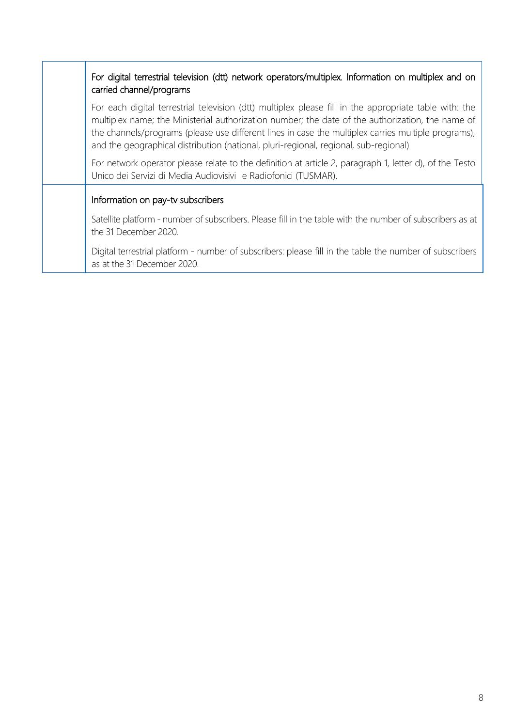### For digital terrestrial television (dtt) network operators/multiplex*.* Information on multiplex and on carried channel/programs

For each digital terrestrial television (dtt) multiplex please fill in the appropriate table with: the multiplex name; the Ministerial authorization number; the date of the authorization, the name of the channels/programs (please use different lines in case the multiplex carries multiple programs), and the geographical distribution (national, pluri-regional, regional, sub-regional)

For network operator please relate to the definition at article 2, paragraph 1, letter d), of the Testo Unico dei Servizi di Media Audiovisivi e Radiofonici (TUSMAR).

#### Information on pay-tv subscribers

Satellite platform - number of subscribers. Please fill in the table with the number of subscribers as at the 31 December 2020.

Digital terrestrial platform - number of subscribers: please fill in the table the number of subscribers as at the 31 December 2020.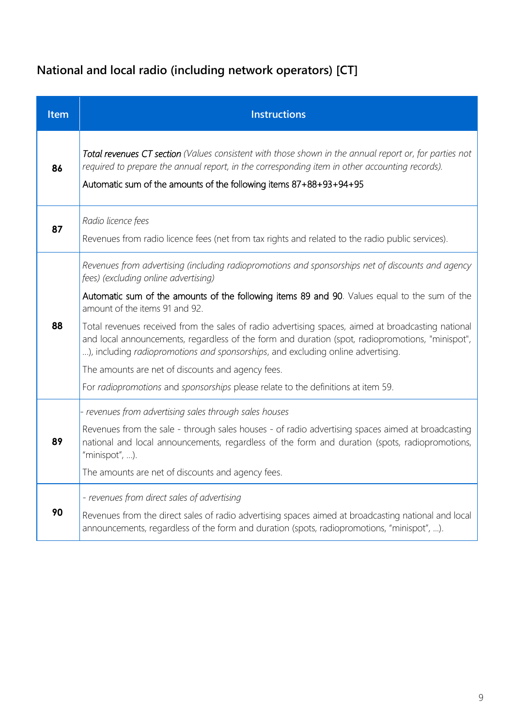# **National and local radio (including network operators) [CT]**

| Item | <b>Instructions</b>                                                                                                                                                                                                                                                                        |
|------|--------------------------------------------------------------------------------------------------------------------------------------------------------------------------------------------------------------------------------------------------------------------------------------------|
| 86   | Total revenues CT section (Values consistent with those shown in the annual report or, for parties not<br>required to prepare the annual report, in the corresponding item in other accounting records).<br>Automatic sum of the amounts of the following items 87+88+93+94+95             |
| 87   | Radio licence fees<br>Revenues from radio licence fees (net from tax rights and related to the radio public services).                                                                                                                                                                     |
|      | Revenues from advertising (including radiopromotions and sponsorships net of discounts and agency<br>fees) (excluding online advertising)                                                                                                                                                  |
| 88   | Automatic sum of the amounts of the following items 89 and 90. Values equal to the sum of the<br>amount of the items 91 and 92.                                                                                                                                                            |
|      | Total revenues received from the sales of radio advertising spaces, aimed at broadcasting national<br>and local announcements, regardless of the form and duration (spot, radiopromotions, "minispot",<br>), including radiopromotions and sponsorships, and excluding online advertising. |
|      | The amounts are net of discounts and agency fees.                                                                                                                                                                                                                                          |
|      | For radiopromotions and sponsorships please relate to the definitions at item 59.                                                                                                                                                                                                          |
|      | - revenues from advertising sales through sales houses                                                                                                                                                                                                                                     |
| 89   | Revenues from the sale - through sales houses - of radio advertising spaces aimed at broadcasting<br>national and local announcements, regardless of the form and duration (spots, radiopromotions,<br>"minispot", ).                                                                      |
|      | The amounts are net of discounts and agency fees.                                                                                                                                                                                                                                          |
|      | - revenues from direct sales of advertising                                                                                                                                                                                                                                                |
| 90   | Revenues from the direct sales of radio advertising spaces aimed at broadcasting national and local<br>announcements, regardless of the form and duration (spots, radiopromotions, "minispot", ).                                                                                          |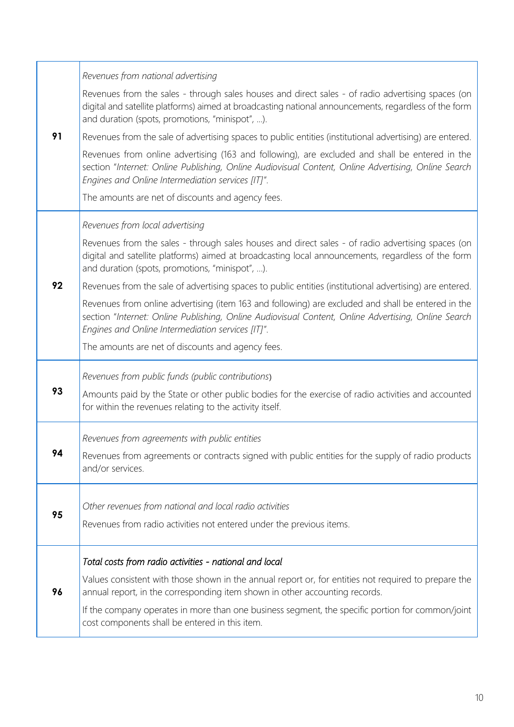|    | Revenues from national advertising                                                                                                                                                                                                                             |
|----|----------------------------------------------------------------------------------------------------------------------------------------------------------------------------------------------------------------------------------------------------------------|
|    | Revenues from the sales - through sales houses and direct sales - of radio advertising spaces (on<br>digital and satellite platforms) aimed at broadcasting national announcements, regardless of the form<br>and duration (spots, promotions, "minispot", ).  |
| 91 | Revenues from the sale of advertising spaces to public entities (institutional advertising) are entered.                                                                                                                                                       |
|    | Revenues from online advertising (163 and following), are excluded and shall be entered in the<br>section "Internet: Online Publishing, Online Audiovisual Content, Online Advertising, Online Search<br>Engines and Online Intermediation services [IT]".     |
|    | The amounts are net of discounts and agency fees.                                                                                                                                                                                                              |
|    | Revenues from local advertising                                                                                                                                                                                                                                |
|    | Revenues from the sales - through sales houses and direct sales - of radio advertising spaces (on<br>digital and satellite platforms) aimed at broadcasting local announcements, regardless of the form<br>and duration (spots, promotions, "minispot", ).     |
| 92 | Revenues from the sale of advertising spaces to public entities (institutional advertising) are entered.                                                                                                                                                       |
|    | Revenues from online advertising (item 163 and following) are excluded and shall be entered in the<br>section "Internet: Online Publishing, Online Audiovisual Content, Online Advertising, Online Search<br>Engines and Online Intermediation services [IT]". |
|    | The amounts are net of discounts and agency fees.                                                                                                                                                                                                              |
|    | Revenues from public funds (public contributions)                                                                                                                                                                                                              |
| 93 | Amounts paid by the State or other public bodies for the exercise of radio activities and accounted<br>for within the revenues relating to the activity itself.                                                                                                |
|    | Revenues from agreements with public entities                                                                                                                                                                                                                  |
| 94 | Revenues from agreements or contracts signed with public entities for the supply of radio products<br>and/or services.                                                                                                                                         |
|    | Other revenues from national and local radio activities                                                                                                                                                                                                        |
| 95 | Revenues from radio activities not entered under the previous items.                                                                                                                                                                                           |
|    |                                                                                                                                                                                                                                                                |
|    | Total costs from radio activities - national and local                                                                                                                                                                                                         |
| 96 | Values consistent with those shown in the annual report or, for entities not required to prepare the<br>annual report, in the corresponding item shown in other accounting records.                                                                            |
|    | If the company operates in more than one business segment, the specific portion for common/joint<br>cost components shall be entered in this item.                                                                                                             |